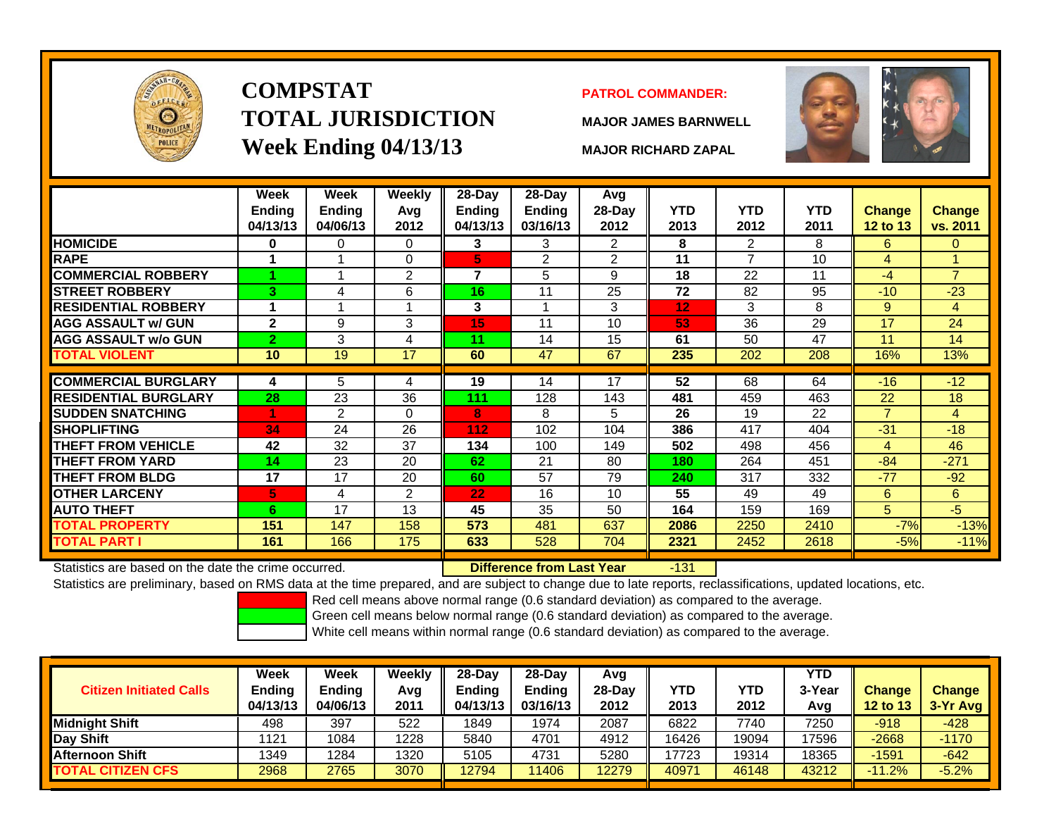

# **COMPSTATTOTAL JURISDICTIONWeek Ending 04/13/13 MAJOR RICHARD ZAPAL**

## **PATROL COMMANDER:**

**MAJOR JAMES BARNWELL**



-131

|                             | Week<br>Ending<br>04/13/13 | Week<br><b>Ending</b><br>04/06/13 | Weekly<br>Avg<br>2012 | 28-Day<br><b>Ending</b><br>04/13/13 | 28-Day<br><b>Ending</b><br>03/16/13 | Avg<br>28-Day<br>2012 | <b>YTD</b><br>2013 | <b>YTD</b><br>2012 | <b>YTD</b><br>2011 | <b>Change</b><br>12 to 13 | <b>Change</b><br>vs. 2011 |
|-----------------------------|----------------------------|-----------------------------------|-----------------------|-------------------------------------|-------------------------------------|-----------------------|--------------------|--------------------|--------------------|---------------------------|---------------------------|
| <b>HOMICIDE</b>             | $\bf{0}$                   | 0                                 | $\Omega$              | 3                                   | 3                                   | 2                     | 8                  | 2                  | 8                  | 6                         | $\Omega$                  |
| <b>RAPE</b>                 |                            |                                   | $\Omega$              | 5                                   | 2                                   | 2                     | 11                 | 7                  | 10                 | 4                         |                           |
| <b>COMMERCIAL ROBBERY</b>   |                            |                                   | 2                     | 7                                   | 5                                   | 9                     | 18                 | 22                 | 11                 | $-4$                      | $\overline{7}$            |
| <b>STREET ROBBERY</b>       | 3                          | 4                                 | 6                     | 16                                  | 11                                  | 25                    | 72                 | 82                 | 95                 | $-10$                     | $-23$                     |
| <b>RESIDENTIAL ROBBERY</b>  |                            |                                   |                       | 3                                   |                                     | 3                     | 12                 | 3                  | 8                  | 9                         | 4                         |
| <b>AGG ASSAULT w/ GUN</b>   | $\mathbf{2}$               | 9                                 | 3                     | 15                                  | 11                                  | 10                    | 53                 | 36                 | 29                 | 17                        | 24                        |
| <b>AGG ASSAULT w/o GUN</b>  | $\overline{2}$             | 3                                 | 4                     | 11                                  | 14                                  | 15                    | 61                 | 50                 | 47                 | 11                        | 14                        |
| <b>TOTAL VIOLENT</b>        | 10                         | 19                                | 17                    | 60                                  | 47                                  | 67                    | 235                | 202                | 208                | 16%                       | 13%                       |
|                             |                            |                                   |                       |                                     |                                     |                       |                    |                    |                    |                           |                           |
| <b>COMMERCIAL BURGLARY</b>  | 4                          | 5                                 | 4                     | 19                                  | 14                                  | 17                    | 52                 | 68                 | 64                 | $-16$                     | $-12$                     |
| <b>RESIDENTIAL BURGLARY</b> | 28                         | 23                                | 36                    | 111                                 | 128                                 | 143                   | 481                | 459                | 463                | 22                        | 18                        |
| <b>SUDDEN SNATCHING</b>     |                            | $\overline{2}$                    | $\Omega$              | 8                                   | 8                                   | 5                     | 26                 | 19                 | 22                 | $\overline{7}$            | $\overline{4}$            |
| <b>SHOPLIFTING</b>          | 34                         | 24                                | 26                    | 112                                 | 102                                 | 104                   | 386                | 417                | 404                | $-31$                     | $-18$                     |
| <b>THEFT FROM VEHICLE</b>   | 42                         | 32                                | 37                    | 134                                 | 100                                 | 149                   | 502                | 498                | 456                | 4                         | 46                        |
| <b>THEFT FROM YARD</b>      | 14                         | 23                                | 20                    | 62                                  | 21                                  | 80                    | 180                | 264                | 451                | $-84$                     | $-271$                    |
| <b>THEFT FROM BLDG</b>      | 17                         | 17                                | 20                    | 60                                  | 57                                  | 79                    | 240                | 317                | 332                | $-77$                     | $-92$                     |
| <b>OTHER LARCENY</b>        | 5                          | 4                                 | $\overline{2}$        | 22                                  | 16                                  | 10                    | 55                 | 49                 | 49                 | 6                         | 6                         |
| <b>AUTO THEFT</b>           | 6                          | 17                                | 13                    | 45                                  | 35                                  | 50                    | 164                | 159                | 169                | 5                         | $-5$                      |
| <b>TOTAL PROPERTY</b>       | 151                        | 147                               | 158                   | 573                                 | 481                                 | 637                   | 2086               | 2250               | 2410               | $-7%$                     | $-13%$                    |
| TOTAL PART I                | 161                        | 166                               | 175                   | 633                                 | 528                                 | 704                   | 2321               | 2452               | 2618               | $-5%$                     | $-11%$                    |
|                             |                            |                                   |                       |                                     |                                     |                       |                    |                    |                    |                           |                           |

Statistics are based on the date the crime occurred. **Difference from Last Year** 

Statistics are preliminary, based on RMS data at the time prepared, and are subject to change due to late reports, reclassifications, updated locations, etc.

Red cell means above normal range (0.6 standard deviation) as compared to the average.

Green cell means below normal range (0.6 standard deviation) as compared to the average.

| <b>Citizen Initiated Calls</b> | Week<br>Ending<br>04/13/13 | Week<br><b>Ending</b><br>04/06/13 | Weekly<br>Avg<br>2011 | 28-Day<br><b>Ending</b><br>04/13/13 | 28-Day<br><b>Ending</b><br>03/16/13 | Avg<br>$28-Day$<br>2012 | YTD<br>2013 | YTD<br>2012 | YTD<br>3-Year<br>Avg | <b>Change</b><br>12 to 13 | <b>Change</b><br>3-Yr Avg |
|--------------------------------|----------------------------|-----------------------------------|-----------------------|-------------------------------------|-------------------------------------|-------------------------|-------------|-------------|----------------------|---------------------------|---------------------------|
| Midniaht Shift                 | 498                        | 397                               | 522                   | 1849                                | 1974                                | 2087                    | 6822        | 7740        | 7250                 | $-918$                    | $-428$                    |
| Day Shift                      | 1121                       | 1084                              | 1228                  | 5840                                | 4701                                | 4912                    | 16426       | 19094       | 17596                | $-2668$                   | $-1170$                   |
| <b>Afternoon Shift</b>         | 1349                       | 1284                              | 1320                  | 5105                                | 4731                                | 5280                    | 17723       | 19314       | 18365                | $-1591$                   | $-642$                    |
| <b>TOTAL CITIZEN CFS</b>       | 2968                       | 2765                              | 3070                  | 12794                               | 11406                               | 12279                   | 40971       | 46148       | 43212                | $-11.2%$                  | $-5.2%$                   |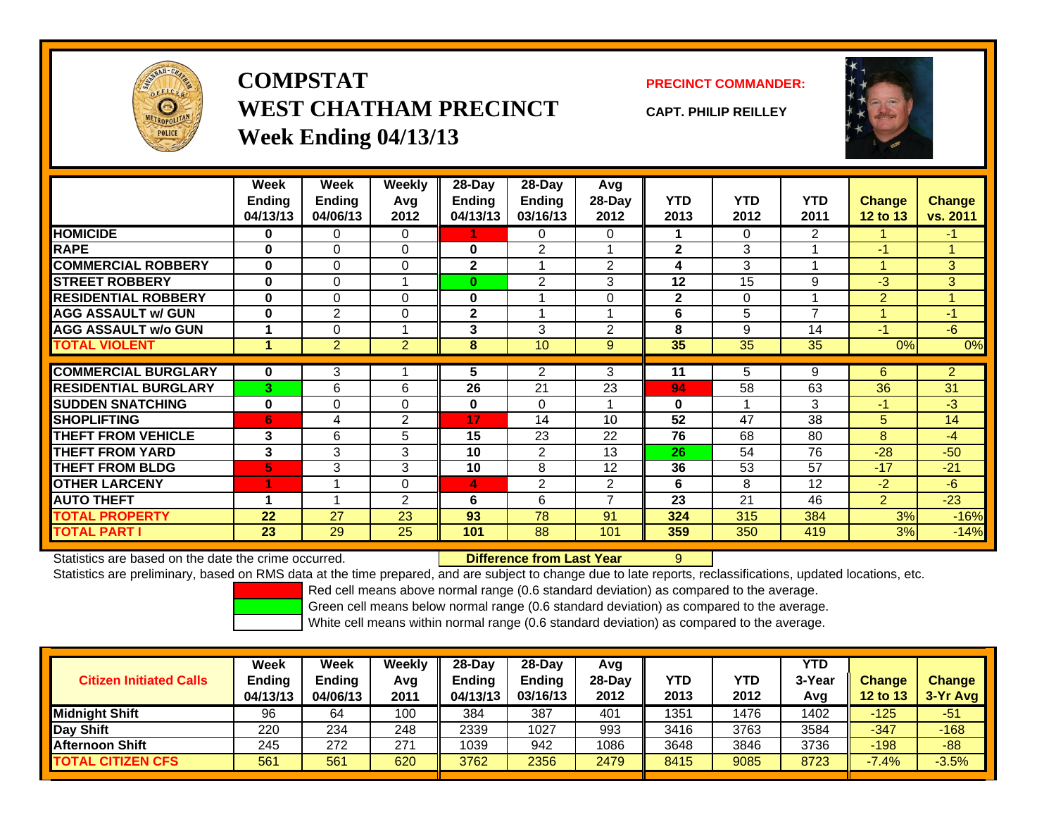

**COMPSTATWEST CHATHAM PRECINCTWeek Ending 04/13/13**

**PRECINCT COMMANDER:**

**CAPT. PHILIP REILLEY**



|                             | Week          | <b>Week</b>    | Weekly         | 28-Day         | $28-Day$       | Avg                      |              |            |                |                |                |
|-----------------------------|---------------|----------------|----------------|----------------|----------------|--------------------------|--------------|------------|----------------|----------------|----------------|
|                             | <b>Ending</b> | <b>Ending</b>  | Avg            | Ending         | <b>Ending</b>  | 28-Day                   | <b>YTD</b>   | <b>YTD</b> | <b>YTD</b>     | <b>Change</b>  | <b>Change</b>  |
|                             | 04/13/13      | 04/06/13       | 2012           | 04/13/13       | 03/16/13       | 2012                     | 2013         | 2012       | 2011           | 12 to 13       | vs. 2011       |
| <b>HOMICIDE</b>             | 0             | 0              | 0              |                | 0              | $\Omega$                 |              | 0          | $\overline{2}$ |                | $-1$           |
| <b>RAPE</b>                 | $\bf{0}$      | $\Omega$       | $\Omega$       | $\bf{0}$       | 2              |                          | $\mathbf{2}$ | 3          |                | $-1$           | 1              |
| <b>COMMERCIAL ROBBERY</b>   | $\mathbf{0}$  | $\Omega$       | 0              | $\overline{2}$ |                | 2                        | 4            | 3          |                |                | 3              |
| <b>STREET ROBBERY</b>       | $\bf{0}$      | 0              |                | $\bf{0}$       | 2              | 3                        | 12           | 15         | 9              | $-3$           | 3              |
| <b>RESIDENTIAL ROBBERY</b>  | $\bf{0}$      | $\Omega$       | $\Omega$       | $\bf{0}$       |                | $\Omega$                 | $\mathbf{2}$ | $\Omega$   |                | $\overline{2}$ | 1              |
| <b>AGG ASSAULT w/ GUN</b>   | $\bf{0}$      | $\overline{2}$ | $\Omega$       | $\overline{2}$ |                |                          | 6            | 5          | 7              |                | $-1$           |
| <b>AGG ASSAULT w/o GUN</b>  |               | 0              |                | 3              | 3              | $\overline{2}$           | 8            | 9          | 14             | $-1$           | $-6$           |
| <b>TOTAL VIOLENT</b>        | 4             | $\overline{2}$ | $\overline{2}$ | 8              | 10             | 9                        | 35           | 35         | 35             | 0%             | 0%             |
|                             |               |                |                |                |                |                          |              |            |                |                |                |
| <b>COMMERCIAL BURGLARY</b>  | 0             | 3              |                | 5              | $\overline{2}$ | 3                        | 11           | 5          | 9              | 6              | $\overline{2}$ |
| <b>RESIDENTIAL BURGLARY</b> | $\mathbf{3}$  | 6              | 6              | 26             | 21             | 23                       | 94           | 58         | 63             | 36             | 31             |
| <b>SUDDEN SNATCHING</b>     | $\bf{0}$      | 0              | 0              | 0              | $\Omega$       |                          | $\bf{0}$     |            | 3              | $-1$           | $-3$           |
| <b>SHOPLIFTING</b>          | 6             | 4              | 2              | 17             | 14             | 10 <sup>1</sup>          | 52           | 47         | 38             | 5              | 14             |
| <b>THEFT FROM VEHICLE</b>   | 3             | 6              | 5              | 15             | 23             | 22                       | 76           | 68         | 80             | 8              | $-4$           |
| <b>THEFT FROM YARD</b>      | 3             | 3              | 3              | 10             | $\overline{2}$ | 13                       | 26           | 54         | 76             | $-28$          | $-50$          |
| <b>THEFT FROM BLDG</b>      | 5             | 3              | 3              | 10             | 8              | 12                       | 36           | 53         | 57             | $-17$          | $-21$          |
| <b>OTHER LARCENY</b>        | 1             |                | 0              | 4              | 2              | 2                        | 6            | 8          | 12             | $-2$           | $-6$           |
| <b>AUTO THEFT</b>           | 4             |                | 2              | 6              | 6              | $\overline{\phantom{a}}$ | 23           | 21         | 46             | $\overline{2}$ | $-23$          |
| <b>TOTAL PROPERTY</b>       | 22            | 27             | 23             | 93             | 78             | 91                       | 324          | 315        | 384            | 3%             | $-16%$         |
| <b>TOTAL PART I</b>         | 23            | 29             | 25             | 101            | 88             | 101                      | 359          | 350        | 419            | 3%             | $-14%$         |

Statistics are based on the date the crime occurred. **Difference from Last Year** 

Statistics are preliminary, based on RMS data at the time prepared, and are subject to change due to late reports, reclassifications, updated locations, etc.

9

Red cell means above normal range (0.6 standard deviation) as compared to the average.

Green cell means below normal range (0.6 standard deviation) as compared to the average.

| <b>Citizen Initiated Calls</b> | Week<br><b>Ending</b><br>04/13/13 | Week<br><b>Ending</b><br>04/06/13 | <b>Weekly</b><br>Avg<br>2011 | $28-Day$<br><b>Ending</b><br>04/13/13 | 28-Dav<br><b>Ending</b><br>03/16/13 | Avg<br>28-Day<br>2012 | YTD<br>2013 | YTD<br>2012 | <b>YTD</b><br>3-Year<br>Avg | <b>Change</b><br><b>12 to 13</b> | <b>Change</b><br>$3-Yr$ Avg |
|--------------------------------|-----------------------------------|-----------------------------------|------------------------------|---------------------------------------|-------------------------------------|-----------------------|-------------|-------------|-----------------------------|----------------------------------|-----------------------------|
| <b>Midnight Shift</b>          | 96                                | 64                                | 100                          | 384                                   | 387                                 | 401                   | 1351        | 1476        | 1402                        | $-125$                           | $-51$                       |
| Day Shift                      | 220                               | 234                               | 248                          | 2339                                  | 1027                                | 993                   | 3416        | 3763        | 3584                        | $-347$                           | $-168$                      |
| <b>Afternoon Shift</b>         | 245                               | 272                               | 271                          | 1039                                  | 942                                 | 1086                  | 3648        | 3846        | 3736                        | $-198$                           | $-88$                       |
| <b>TOTAL CITIZEN CFS</b>       | 561                               | 561                               | 620                          | 3762                                  | 2356                                | 2479                  | 8415        | 9085        | 8723                        | $-7.4%$                          | $-3.5%$                     |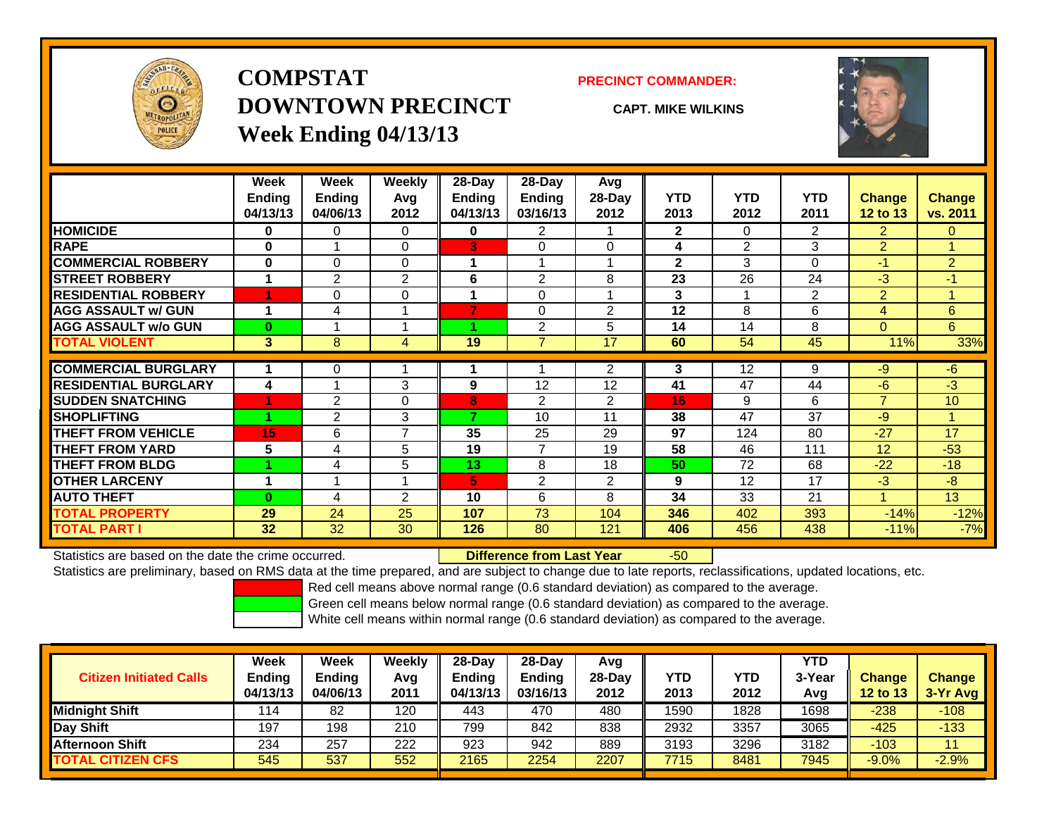

## **COMPSTATDOWNTOWN PRECINCTWeek Ending 04/13/13**

### **PRECINCT COMMANDER:**

**CAPT. MIKE WILKINS**



|                             | Week          | Week           | <b>Weekly</b>  | 28-Day        | $28-Day$       | Avg            |              |                |                |                 |                |
|-----------------------------|---------------|----------------|----------------|---------------|----------------|----------------|--------------|----------------|----------------|-----------------|----------------|
|                             | <b>Endina</b> | <b>Ending</b>  | Avg            | <b>Ending</b> | Ending         | 28-Day         | <b>YTD</b>   | <b>YTD</b>     | <b>YTD</b>     | <b>Change</b>   | Change         |
|                             | 04/13/13      | 04/06/13       | 2012           | 04/13/13      | 03/16/13       | 2012           | 2013         | 2012           | 2011           | <b>12 to 13</b> | vs. 2011       |
| <b>HOMICIDE</b>             | 0             | 0              | $\Omega$       | 0             | $\overline{2}$ |                | $\mathbf{2}$ | $\Omega$       | $\overline{2}$ | $\overline{2}$  | $\Omega$       |
| <b>RAPE</b>                 | 0             |                | 0              | 3             | 0              | $\Omega$       | 4            | $\overline{2}$ | 3              | $\overline{2}$  |                |
| <b>COMMERCIAL ROBBERY</b>   | 0             | 0              | 0              |               | 1              |                | $\mathbf{2}$ | 3              | 0              | $-1$            | $\overline{2}$ |
| <b>ISTREET ROBBERY</b>      | 1             | $\overline{2}$ | $\overline{2}$ | 6             | $\overline{2}$ | 8              | 23           | 26             | 24             | -3              | $-1$           |
| <b>RESIDENTIAL ROBBERY</b>  |               | 0              | $\Omega$       | 4             | 0              |                | 3            | 1              | 2              | 2               |                |
| <b>AGG ASSAULT w/ GUN</b>   | 1             | 4              |                | 7             | $\Omega$       | $\overline{2}$ | 12           | 8              | 6              | 4               | 6              |
| <b>AGG ASSAULT w/o GUN</b>  | $\bf{0}$      |                |                |               | $\overline{2}$ | 5              | 14           | 14             | 8              | $\Omega$        | 6              |
| <b>TOTAL VIOLENT</b>        | 3             | 8              | 4              | 19            | 7              | 17             | 60           | 54             | 45             | 11%             | 33%            |
| <b>COMMERCIAL BURGLARY</b>  | 1             | 0              |                |               |                | 2              | 3            | 12             | 9              | -9              | $-6$           |
| <b>RESIDENTIAL BURGLARY</b> | 4             |                | 3              | 9             | 12             | 12             | 41           | 47             | 44             | -6              | $-3$           |
| <b>SUDDEN SNATCHING</b>     |               | $\overline{2}$ | 0              | 8             | $\overline{2}$ | 2              | 16           | 9              | 6              | $\overline{7}$  | 10             |
| <b>SHOPLIFTING</b>          |               | 2              | 3              | 7             | 10             | 11             | 38           | 47             | 37             | -9              |                |
| <b>THEFT FROM VEHICLE</b>   | 15            | 6              | 7              | 35            | 25             | 29             | 97           | 124            | 80             | $-27$           | 17             |
| <b>THEFT FROM YARD</b>      | 5             | 4              | 5              | 19            | $\overline{7}$ | 19             | 58           | 46             | 111            | 12              | $-53$          |
| <b>THEFT FROM BLDG</b>      |               | 4              | 5              | 13            | 8              | 18             | 50           | 72             | 68             | $-22$           | $-18$          |
| <b>OTHER LARCENY</b>        | 1             |                |                | 5             | $\overline{2}$ | 2              | 9            | 12             | 17             | -3              | $-8$           |
| <b>AUTO THEFT</b>           | $\Omega$      | 4              | $\overline{2}$ | 10            | 6              | 8              | 34           | 33             | 21             |                 | 13             |
| <b>TOTAL PROPERTY</b>       | 29            | 24             | 25             | 107           | 73             | 104            | 346          | 402            | 393            | $-14%$          | $-12%$         |
| <b>TOTAL PART I</b>         | 32            | 32             | 30             | 126           | 80             | 121            | 406          | 456            | 438            | $-11%$          | $-7%$          |

Statistics are based on the date the crime occurred. **Difference from Last Year** 

r -50

Statistics are preliminary, based on RMS data at the time prepared, and are subject to change due to late reports, reclassifications, updated locations, etc.

Red cell means above normal range (0.6 standard deviation) as compared to the average.

Green cell means below normal range (0.6 standard deviation) as compared to the average.

| <b>Citizen Initiated Calls</b> | Week<br><b>Ending</b><br>04/13/13 | Week<br><b>Ending</b><br>04/06/13 | Weekly<br>Avg<br>2011 | $28-Day$<br><b>Ending</b><br>04/13/13 | $28-Day$<br><b>Ending</b><br>03/16/13 | Avg<br>28-Dav<br>2012 | YTD<br>2013 | <b>YTD</b><br>2012 | <b>YTD</b><br>3-Year<br>Avg | <b>Change</b><br><b>12 to 13</b> | <b>Change</b><br>3-Yr Avg |
|--------------------------------|-----------------------------------|-----------------------------------|-----------------------|---------------------------------------|---------------------------------------|-----------------------|-------------|--------------------|-----------------------------|----------------------------------|---------------------------|
| <b>Midnight Shift</b>          | 114                               | 82                                | 120                   | 443                                   | 470                                   | 480                   | 1590        | 1828               | 1698                        | $-238$                           | $-108$                    |
| Day Shift                      | 197                               | 198                               | 210                   | 799                                   | 842                                   | 838                   | 2932        | 3357               | 3065                        | $-425$                           | $-133$                    |
| <b>Afternoon Shift</b>         | 234                               | 257                               | 222                   | 923                                   | 942                                   | 889                   | 3193        | 3296               | 3182                        | $-103$                           |                           |
| <b>TOTAL CITIZEN CFS</b>       | 545                               | 537                               | 552                   | 2165                                  | 2254                                  | 2207                  | 7715        | 8481               | 7945                        | $-9.0%$                          | $-2.9%$                   |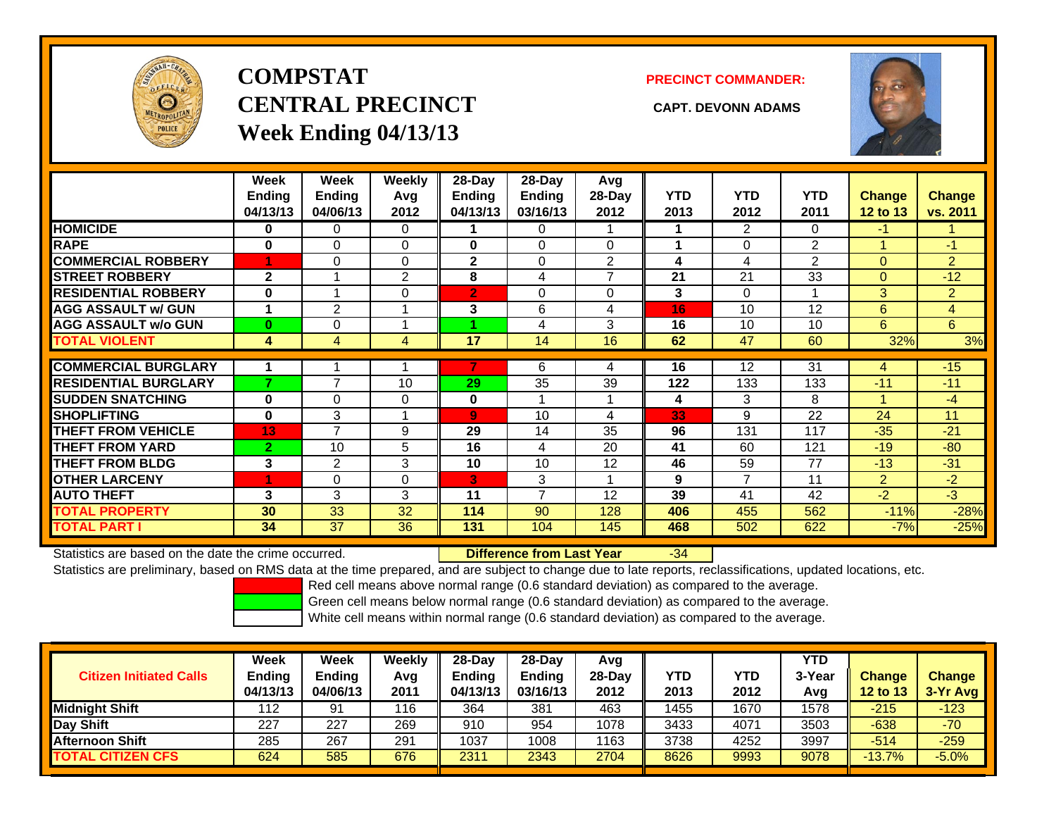

# **COMPSTATCENTRAL PRECINCT CAPT. DEVONN ADAMSWeek Ending 04/13/13**

**PRECINCT COMMANDER:**



|                             | Week<br><b>Ending</b><br>04/13/13 | Week<br>Ending<br>04/06/13 | Weekly<br>Avg<br>2012 | $28$ -Day<br>Ending<br>04/13/13 | 28-Day<br><b>Ending</b><br>03/16/13 | Avg<br>$28-Day$<br>2012 | <b>YTD</b><br>2013 | <b>YTD</b><br>2012 | <b>YTD</b><br>2011 | <b>Change</b><br><b>12 to 13</b> | <b>Change</b><br>vs. 2011 |
|-----------------------------|-----------------------------------|----------------------------|-----------------------|---------------------------------|-------------------------------------|-------------------------|--------------------|--------------------|--------------------|----------------------------------|---------------------------|
| <b>HOMICIDE</b>             | 0                                 | 0                          | 0                     |                                 | 0                                   |                         |                    | $\overline{2}$     | 0                  | $-1$                             |                           |
| <b>RAPE</b>                 | $\bf{0}$                          | 0                          | $\Omega$              | 0                               | $\Omega$                            | $\Omega$                |                    | $\Omega$           | $\overline{2}$     |                                  | $-1$                      |
| <b>COMMERCIAL ROBBERY</b>   | 4                                 | 0                          | $\Omega$              | $\mathbf{2}$                    | $\Omega$                            | $\overline{2}$          | 4                  | 4                  | $\overline{2}$     | $\mathbf{0}$                     | $\overline{2}$            |
| <b>STREET ROBBERY</b>       | $\mathbf{2}$                      |                            | 2                     | 8                               | 4                                   | $\overline{ }$          | 21                 | 21                 | 33                 | $\mathbf{0}$                     | $-12$                     |
| <b>RESIDENTIAL ROBBERY</b>  | $\bf{0}$                          |                            | 0                     | $\overline{2}$                  | $\Omega$                            | $\Omega$                | 3                  | $\Omega$           |                    | 3                                | $\overline{2}$            |
| <b>AGG ASSAULT w/ GUN</b>   | 1                                 | $\overline{2}$             |                       | 3                               | 6                                   | 4                       | 16                 | 10                 | 12                 | 6                                | $\overline{4}$            |
| <b>AGG ASSAULT w/o GUN</b>  | $\bf{0}$                          | 0                          |                       |                                 | 4                                   | 3                       | 16                 | 10                 | 10                 | 6                                | 6                         |
| <b>TOTAL VIOLENT</b>        | 4                                 | 4                          | 4                     | 17                              | 14                                  | 16                      | 62                 | 47                 | 60                 | 32%                              | 3%                        |
| <b>COMMERCIAL BURGLARY</b>  |                                   |                            |                       |                                 | 6                                   |                         | 16                 | 12                 | 31                 |                                  | $-15$                     |
|                             | 7                                 | 7                          |                       |                                 |                                     | 4                       |                    |                    |                    | 4                                |                           |
| <b>RESIDENTIAL BURGLARY</b> |                                   |                            | 10                    | 29                              | 35                                  | 39                      | 122                | 133                | 133                | $-11$                            | $-11$                     |
| <b>SUDDEN SNATCHING</b>     | $\bf{0}$                          | 0                          | $\mathbf 0$           | 0                               |                                     |                         | 4                  | 3                  | 8                  |                                  | $-4$                      |
| <b>SHOPLIFTING</b>          | 0                                 | 3                          |                       | $\mathbf{9}$                    | 10                                  | 4                       | 33                 | 9                  | 22                 | 24                               | 11                        |
| <b>THEFT FROM VEHICLE</b>   | 13                                | 7                          | 9                     | 29                              | 14                                  | 35                      | 96                 | 131                | 117                | $-35$                            | $-21$                     |
| <b>THEFT FROM YARD</b>      | $\overline{2}$                    | 10                         | 5                     | 16                              | 4                                   | 20                      | 41                 | 60                 | 121                | $-19$                            | $-80$                     |
| <b>THEFT FROM BLDG</b>      | 3                                 | $\overline{2}$             | 3                     | 10                              | 10                                  | 12                      | 46                 | 59                 | 77                 | $-13$                            | $-31$                     |
| <b>OTHER LARCENY</b>        | 4                                 | 0                          | 0                     | ß'                              | 3                                   | 1                       | 9                  | $\overline{7}$     | 11                 | 2                                | $-2$                      |
| <b>AUTO THEFT</b>           | 3                                 | 3                          | 3                     | 11                              | $\overline{7}$                      | 12                      | 39                 | 41                 | 42                 | $-2$                             | $-3$                      |
| <b>TOTAL PROPERTY</b>       | 30                                | 33                         | 32                    | 114                             | 90                                  | 128                     | 406                | 455                | 562                | $-11%$                           | $-28%$                    |
| <b>TOTAL PART I</b>         | 34                                | 37                         | 36                    | 131                             | 104                                 | 145                     | 468                | 502                | 622                | $-7%$                            | $-25%$                    |

Statistics are based on the date the crime occurred. **Difference from Last Year** 

-34

Statistics are preliminary, based on RMS data at the time prepared, and are subject to change due to late reports, reclassifications, updated locations, etc.

Red cell means above normal range (0.6 standard deviation) as compared to the average.

Green cell means below normal range (0.6 standard deviation) as compared to the average.

| <b>Change</b><br>$3-Yr$ Avg |
|-----------------------------|
|                             |
| $-123$                      |
| $-70$                       |
| $-259$                      |
| $-5.0%$                     |
|                             |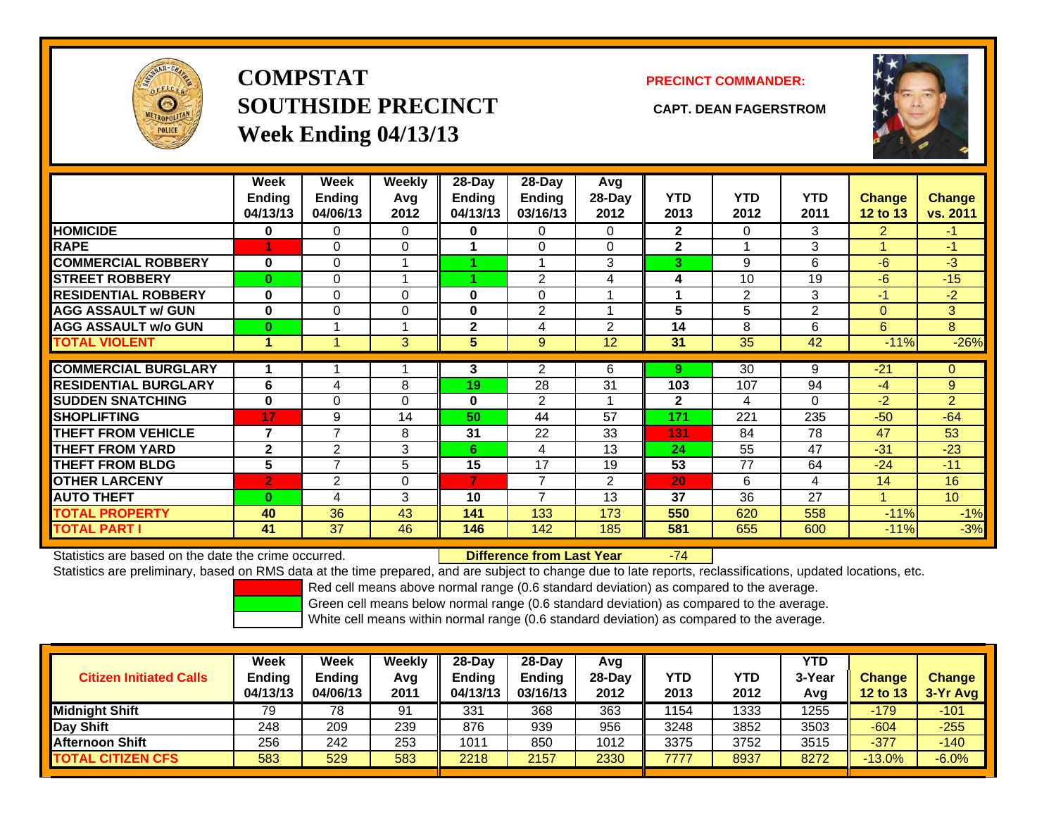

**COMPSTATSOUTHSIDE PRECINCT CAPT. DEAN FAGERSTROMWeek Ending 04/13/13**

### **PRECINCT COMMANDER:**



|                             | Week<br><b>Ending</b><br>04/13/13 | Week<br><b>Ending</b><br>04/06/13 | Weekly<br>Avg<br>2012 | 28-Day<br>Ending<br>04/13/13 | $28-Day$<br><b>Endina</b><br>03/16/13 | Avg<br>28-Day<br>2012 | <b>YTD</b><br>2013 | <b>YTD</b><br>2012 | <b>YTD</b><br>2011 | <b>Change</b><br><b>12 to 13</b> | <b>Change</b><br>vs. 2011 |
|-----------------------------|-----------------------------------|-----------------------------------|-----------------------|------------------------------|---------------------------------------|-----------------------|--------------------|--------------------|--------------------|----------------------------------|---------------------------|
| <b>HOMICIDE</b>             | 0                                 | 0                                 | 0                     | 0                            | 0                                     | 0                     | $\mathbf{2}$       | 0                  | 3                  | 2                                | -1.                       |
| <b>RAPE</b>                 |                                   | 0                                 | $\Omega$              |                              | 0                                     | $\Omega$              | $\mathbf{2}$       |                    | 3                  |                                  | $-1$                      |
| <b>COMMERCIAL ROBBERY</b>   | 0                                 | 0                                 | 4                     |                              |                                       | 3                     | 3                  | 9                  | 6                  | $-6$                             | $-3$                      |
| <b>STREET ROBBERY</b>       | $\bf{0}$                          | 0                                 |                       |                              | $\overline{2}$                        | 4                     | 4                  | 10                 | 19                 | -6                               | $-15$                     |
| <b>RESIDENTIAL ROBBERY</b>  | $\bf{0}$                          | 0                                 | $\Omega$              | $\bf{0}$                     | 0                                     |                       | 1                  | 2                  | 3                  | $-1$                             | $-2$                      |
| <b>AGG ASSAULT w/ GUN</b>   | 0                                 | 0                                 | 0                     | $\bf{0}$                     | $\overline{2}$                        |                       | 5                  | 5                  | $\overline{2}$     | $\mathbf{0}$                     | 3                         |
| <b>AGG ASSAULT w/o GUN</b>  | $\bf{0}$                          |                                   |                       | $\mathbf{2}$                 | 4                                     | $\mathfrak{p}$        | 14                 | 8                  | 6                  | 6                                | 8                         |
| <b>TOTAL VIOLENT</b>        | 1                                 | и                                 | 3                     | 5                            | 9                                     | 12                    | 31                 | 35                 | 42                 | $-11%$                           | $-26%$                    |
|                             |                                   |                                   |                       |                              |                                       |                       |                    |                    |                    |                                  |                           |
| <b>COMMERCIAL BURGLARY</b>  | 1                                 |                                   |                       | 3                            | $\overline{2}$                        | 6                     | 9                  | 30                 | 9                  | $-21$                            | $\Omega$                  |
| <b>RESIDENTIAL BURGLARY</b> | 6                                 | 4                                 | 8                     | 19                           | 28                                    | 31                    | 103                | 107                | 94                 | $-4$                             | 9                         |
| <b>SUDDEN SNATCHING</b>     | $\mathbf{0}$                      | 0                                 | $\Omega$              | 0                            | $\overline{2}$                        |                       | $\mathbf{2}$       | 4                  | 0                  | $-2$                             | $\overline{2}$            |
| <b>SHOPLIFTING</b>          | 17                                | 9                                 | 14                    | 50                           | 44                                    | 57                    | 171                | 221                | 235                | $-50$                            | $-64$                     |
| <b>THEFT FROM VEHICLE</b>   | $\overline{7}$                    | $\overline{\phantom{a}}$          | 8                     | 31                           | 22                                    | 33                    | 131                | 84                 | 78                 | 47                               | 53                        |
| <b>THEFT FROM YARD</b>      | $\mathbf{2}$                      | 2                                 | 3                     | 6.                           | 4                                     | 13                    | 24                 | 55                 | 47                 | $-31$                            | $-23$                     |
| <b>THEFT FROM BLDG</b>      | 5                                 | 7                                 | 5                     | 15                           | 17                                    | 19                    | 53                 | 77                 | 64                 | $-24$                            | $-11$                     |
| <b>OTHER LARCENY</b>        | $\overline{2}$                    | 2                                 | 0                     | 7                            | 7                                     | 2                     | 20                 | 6                  | 4                  | 14                               | 16                        |
| <b>AUTO THEFT</b>           | $\bf{0}$                          | 4                                 | 3                     | 10                           | 7                                     | 13                    | 37                 | 36                 | 27                 |                                  | 10                        |
| <b>TOTAL PROPERTY</b>       | 40                                | 36                                | 43                    | 141                          | 133                                   | 173                   | 550                | 620                | 558                | $-11%$                           | $-1%$                     |
| <b>TOTAL PART I</b>         | 41                                | 37                                | 46                    | 146                          | 142                                   | 185                   | 581                | 655                | 600                | $-11%$                           | $-3%$                     |

Statistics are based on the date the crime occurred. **Difference from Last Year** 

-74

Statistics are preliminary, based on RMS data at the time prepared, and are subject to change due to late reports, reclassifications, updated locations, etc.

Red cell means above normal range (0.6 standard deviation) as compared to the average.

Green cell means below normal range (0.6 standard deviation) as compared to the average.

| <b>Citizen Initiated Calls</b> | Week<br><b>Ending</b><br>04/13/13 | Week<br>Ending<br>04/06/13 | Weekly<br>Avg<br>2011 | $28-Dav$<br><b>Ending</b><br>04/13/13 | $28$ -Dav<br><b>Ending</b><br>03/16/13 | Avg<br>28-Dav<br>2012 | YTD<br>2013 | YTD<br>2012 | <b>YTD</b><br>3-Year<br>Avg | <b>Change</b><br><b>12 to 13</b> | <b>Change</b><br>3-Yr Avg |
|--------------------------------|-----------------------------------|----------------------------|-----------------------|---------------------------------------|----------------------------------------|-----------------------|-------------|-------------|-----------------------------|----------------------------------|---------------------------|
| <b>Midnight Shift</b>          | 79                                | 78                         | 91                    | 331                                   | 368                                    | 363                   | 1154        | 1333        | 1255                        | $-179$                           | $-101$                    |
| Day Shift                      | 248                               | 209                        | 239                   | 876                                   | 939                                    | 956                   | 3248        | 3852        | 3503                        | $-604$                           | $-255$                    |
| <b>Afternoon Shift</b>         | 256                               | 242                        | 253                   | 1011                                  | 850                                    | 1012                  | 3375        | 3752        | 3515                        | $-377$                           | $-140$                    |
| <b>TOTAL CITIZEN CFS</b>       | 583                               | 529                        | 583                   | 2218                                  | 2157                                   | 2330                  | 7777        | 8937        | 8272                        | $-13.0%$                         | $-6.0%$                   |